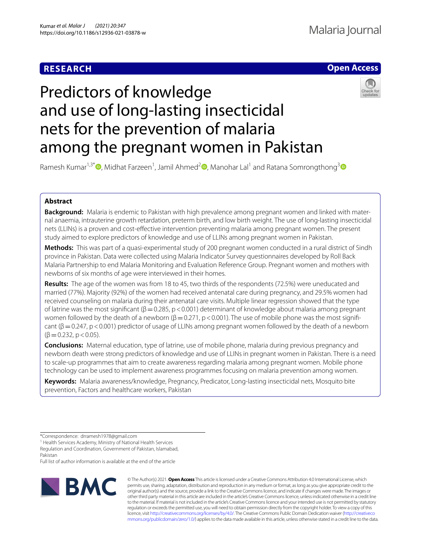# **RESEARCH**

# **Open Access**

# Predictors of knowledge and use of long-lasting insecticidal nets for the prevention of malaria among the pregnant women in Pakistan



Ramesh Kumar<sup>1,3[\\*](http://orcid.org/0000-0002-9701-3179)</sup>®[,](http://orcid.org/0000-0002-3635-7912) Midhat Farzeen<sup>1</sup>, Jamil Ahmed<sup>2</sup>®, Manohar Lal<sup>1</sup> and Ratana Somrongthong<sup>[3](http://orcid.org/0000-0003-4425-1760)</sup>

# **Abstract**

**Background:** Malaria is endemic to Pakistan with high prevalence among pregnant women and linked with maternal anaemia, intrauterine growth retardation, preterm birth, and low birth weight. The use of long-lasting insecticidal nets (LLINs) is a proven and cost-efective intervention preventing malaria among pregnant women. The present study aimed to explore predictors of knowledge and use of LLINs among pregnant women in Pakistan.

**Methods:** This was part of a quasi-experimental study of 200 pregnant women conducted in a rural district of Sindh province in Pakistan. Data were collected using Malaria Indicator Survey questionnaires developed by Roll Back Malaria Partnership to end Malaria Monitoring and Evaluation Reference Group. Pregnant women and mothers with newborns of six months of age were interviewed in their homes.

**Results:** The age of the women was from 18 to 45, two thirds of the respondents (72.5%) were uneducated and married (77%). Majority (92%) of the women had received antenatal care during pregnancy, and 29.5% women had received counseling on malaria during their antenatal care visits. Multiple linear regression showed that the type of latrine was the most signifcant (β=0.285, p<0.001) determinant of knowledge about malaria among pregnant women followed by the death of a newborn  $(β=0.271, p<0.001)$ . The use of mobile phone was the most significant ( $\beta$  = 0.247, p < 0.001) predictor of usage of LLINs among pregnant women followed by the death of a newborn  $(\beta = 0.232, p < 0.05)$ .

**Conclusions:** Maternal education, type of latrine, use of mobile phone, malaria during previous pregnancy and newborn death were strong predictors of knowledge and use of LLINs in pregnant women in Pakistan. There is a need to scale-up programmes that aim to create awareness regarding malaria among pregnant women. Mobile phone technology can be used to implement awareness programmes focusing on malaria prevention among women.

**Keywords:** Malaria awareness/knowledge, Pregnancy, Predicator, Long-lasting insecticidal nets, Mosquito bite prevention, Factors and healthcare workers, Pakistan

<sup>1</sup> Health Services Academy, Ministry of National Health Services Regulation and Coordination, Government of Pakistan, Islamabad, Pakistan

Full list of author information is available at the end of the article



© The Author(s) 2021. **Open Access** This article is licensed under a Creative Commons Attribution 4.0 International License, which permits use, sharing, adaptation, distribution and reproduction in any medium or format, as long as you give appropriate credit to the original author(s) and the source, provide a link to the Creative Commons licence, and indicate if changes were made. The images or other third party material in this article are included in the article's Creative Commons licence, unless indicated otherwise in a credit line to the material. If material is not included in the article's Creative Commons licence and your intended use is not permitted by statutory regulation or exceeds the permitted use, you will need to obtain permission directly from the copyright holder. To view a copy of this licence, visit [http://creativecommons.org/licenses/by/4.0/.](http://creativecommons.org/licenses/by/4.0/) The Creative Commons Public Domain Dedication waiver ([http://creativeco](http://creativecommons.org/publicdomain/zero/1.0/) [mmons.org/publicdomain/zero/1.0/](http://creativecommons.org/publicdomain/zero/1.0/)) applies to the data made available in this article, unless otherwise stated in a credit line to the data.

<sup>\*</sup>Correspondence: drramesh1978@gmail.com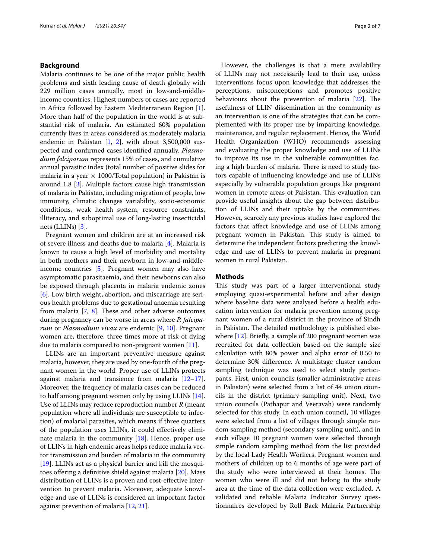## **Background**

Malaria continues to be one of the major public health problems and sixth leading cause of death globally with 229 million cases annually, most in low-and-middleincome countries. Highest numbers of cases are reported in Africa followed by Eastern Mediterranean Region [\[1](#page-5-0)]. More than half of the population in the world is at substantial risk of malaria. An estimated 60% population currently lives in areas considered as moderately malaria endemic in Pakistan  $[1, 2]$  $[1, 2]$  $[1, 2]$  $[1, 2]$ , with about 3,500,000 suspected and confrmed cases identifed annually. *Plasmodium falciparum* represents 15% of cases, and cumulative annual parasitic index (total number of positive slides for malaria in a year  $\times$  1000/Total population) in Pakistan is around 1.8 [[3\]](#page-5-2). Multiple factors cause high transmission of malaria in Pakistan, including migration of people, low immunity, climatic changes variability, socio-economic conditions, weak health system, resource constraints, illiteracy, and suboptimal use of long-lasting insecticidal nets (LLINs) [[3\]](#page-5-2).

Pregnant women and children are at an increased risk of severe illness and deaths due to malaria [[4\]](#page-5-3). Malaria is known to cause a high level of morbidity and mortality in both mothers and their newborn in low-and-middleincome countries [[5\]](#page-5-4). Pregnant women may also have asymptomatic parasitaemia, and their newborns can also be exposed through placenta in malaria endemic zones [[6\]](#page-5-5). Low birth weight, abortion, and miscarriage are serious health problems due to gestational anaemia resulting from malaria  $[7, 8]$  $[7, 8]$  $[7, 8]$  $[7, 8]$ . These and other adverse outcomes during pregnancy can be worse in areas where *P. falciparum* or *Plasmodium vivax* are endemic [\[9,](#page-5-8) [10](#page-5-9)]. Pregnant women are, therefore, three times more at risk of dying due to malaria compared to non-pregnant women [\[11](#page-5-10)].

LLINs are an important preventive measure against malaria, however, they are used by one-fourth of the pregnant women in the world. Proper use of LLINs protects against malaria and transience from malaria  $[12-17]$  $[12-17]$  $[12-17]$ . Moreover, the frequency of malaria cases can be reduced to half among pregnant women only by using LLINs [\[14](#page-5-13)]. Use of LLINs may reduce reproduction number *R* (meant population where all individuals are susceptible to infection) of malarial parasites, which means if three quarters of the population uses LLINs, it could efectively eliminate malaria in the community  $[18]$  $[18]$ . Hence, proper use of LLINs in high endemic areas helps reduce malaria vector transmission and burden of malaria in the community [[19\]](#page-6-1). LLINs act as a physical barrier and kill the mosqui-toes offering a definitive shield against malaria [[20](#page-6-2)]. Mass distribution of LLINs is a proven and cost-efective intervention to prevent malaria. Moreover, adequate knowledge and use of LLINs is considered an important factor against prevention of malaria [\[12](#page-5-11), [21](#page-6-3)].

However, the challenges is that a mere availability of LLINs may not necessarily lead to their use, unless interventions focus upon knowledge that addresses the perceptions, misconceptions and promotes positive behaviours about the prevention of malaria  $[22]$  $[22]$ . The usefulness of LLIN dissemination in the community as an intervention is one of the strategies that can be complemented with its proper use by imparting knowledge, maintenance, and regular replacement. Hence, the World Health Organization (WHO) recommends assessing and evaluating the proper knowledge and use of LLINs to improve its use in the vulnerable communities facing a high burden of malaria. There is need to study factors capable of infuencing knowledge and use of LLINs especially by vulnerable population groups like pregnant women in remote areas of Pakistan. This evaluation can provide useful insights about the gap between distribution of LLINs and their uptake by the communities. However, scarcely any previous studies have explored the factors that afect knowledge and use of LLINs among pregnant women in Pakistan. This study is aimed to determine the independent factors predicting the knowledge and use of LLINs to prevent malaria in pregnant women in rural Pakistan.

# **Methods**

This study was part of a larger interventional study employing quasi-experimental before and after design where baseline data were analysed before a health education intervention for malaria prevention among pregnant women of a rural district in the province of Sindh in Pakistan. The detailed methodology is published else-where [\[12](#page-5-11)]. Briefly, a sample of 200 pregnant women was recruited for data collection based on the sample size calculation with 80% power and alpha error of 0.50 to determine 30% diference. A multistage cluster random sampling technique was used to select study participants. First, union councils (smaller administrative areas in Pakistan) were selected from a list of 44 union councils in the district (primary sampling unit). Next, two union councils (Pathapur and Veeravah) were randomly selected for this study. In each union council, 10 villages were selected from a list of villages through simple random sampling method (secondary sampling unit), and in each village 10 pregnant women were selected through simple random sampling method from the list provided by the local Lady Health Workers. Pregnant women and mothers of children up to 6 months of age were part of the study who were interviewed at their homes. The women who were ill and did not belong to the study area at the time of the data collection were excluded. A validated and reliable Malaria Indicator Survey questionnaires developed by Roll Back Malaria Partnership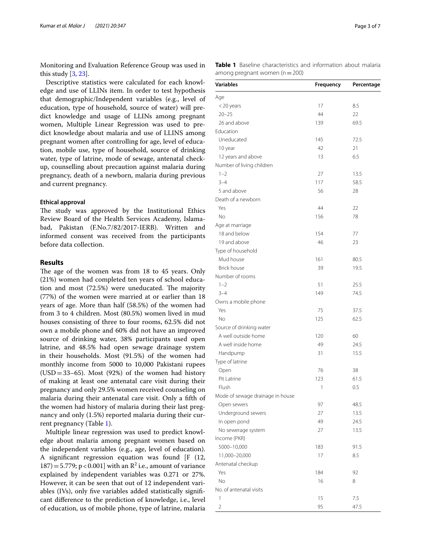Monitoring and Evaluation Reference Group was used in this study  $[3, 23]$  $[3, 23]$  $[3, 23]$ .

Descriptive statistics were calculated for each knowledge and use of LLINs item. In order to test hypothesis that demographic/Independent variables (e.g., level of education, type of household, source of water) will predict knowledge and usage of LLINs among pregnant women, Multiple Linear Regression was used to predict knowledge about malaria and use of LLINS among pregnant women after controlling for age, level of education, mobile use, type of household, source of drinking water, type of latrine, mode of sewage, antenatal checkup, counselling about precaution against malaria during pregnancy, death of a newborn, malaria during previous and current pregnancy.

#### **Ethical approval**

The study was approved by the Institutional Ethics Review Board of the Health Services Academy, Islamabad, Pakistan (F.No.7/82/2017-IERB). Written and informed consent was received from the participants before data collection.

## **Results**

The age of the women was from 18 to 45 years. Only (21%) women had completed ten years of school education and most  $(72.5%)$  were uneducated. The majority (77%) of the women were married at or earlier than 18 years of age. More than half (58.5%) of the women had from 3 to 4 children. Most (80.5%) women lived in mud houses consisting of three to four rooms, 62.5% did not own a mobile phone and 60% did not have an improved source of drinking water, 38% participants used open latrine, and 48.5% had open sewage drainage system in their households. Most (91.5%) of the women had monthly income from 5000 to 10,000 Pakistani rupees  $(USD=33–65)$ . Most  $(92%)$  of the women had history of making at least one antenatal care visit during their pregnancy and only 29.5% women received counseling on malaria during their antenatal care visit. Only a ffth of the women had history of malaria during their last pregnancy and only (1.5%) reported malaria during their current pregnancy (Table [1\)](#page-2-0).

Multiple linear regression was used to predict knowledge about malaria among pregnant women based on the independent variables (e.g., age, level of education). A signifcant regression equation was found [F (12,  $187) = 5.779$ ; p < 0.001] with an  $R^2$  i.e., amount of variance explained by independent variables was 0.271 or 27%. However, it can be seen that out of 12 independent variables (IVs), only fve variables added statistically signifcant diference to the prediction of knowledge, i.e., level of education, us of mobile phone, type of latrine, malaria

<span id="page-2-0"></span>**Table 1** Baseline characteristics and information about malaria among pregnant women  $(n=200)$ 

| Variables                        | Frequency | Percentage |
|----------------------------------|-----------|------------|
| Age                              |           |            |
| <20 years                        | 17        | 8.5        |
| $20 - 25$                        | 44        | 22         |
| 26 and above                     | 139       | 69.5       |
| Education                        |           |            |
| Uneducated                       | 145       | 72.5       |
| 10 year                          | 42        | 21         |
| 12 years and above               | 13        | 6.5        |
| Number of living children        |           |            |
| $1 - 2$                          | 27        | 13.5       |
| $3 - 4$                          | 117       | 58.5       |
| 5 and above                      | 56        | 28         |
| Death of a newborn               |           |            |
| Yes                              |           |            |
|                                  | 44        | 22         |
| No                               | 156       | 78         |
| Age at marriage                  |           |            |
| 18 and below                     | 154       | 77         |
| 19 and above                     | 46        | 23         |
| Type of household                |           |            |
| Mud house                        | 161       | 80.5       |
| <b>Brick house</b>               | 39        | 19.5       |
| Number of rooms                  |           |            |
| $1 - 2$                          | 51        | 25.5       |
| $3 - 4$                          | 149       | 74.5       |
| Owns a mobile phone              |           |            |
| Yes                              | 75        | 37.5       |
| <b>No</b>                        | 125       | 62.5       |
| Source of drinking water         |           |            |
| A well outside home              | 120       | 60         |
| A well inside home               | 49        | 24.5       |
| Handpump                         | 31        | 15.5       |
| Type of latrine                  |           |            |
| Open                             | 76        | 38         |
| Pit Latrine                      | 123       | 61.5       |
| Flush                            | 1         | 0.5        |
| Mode of sewage drainage in house |           |            |
| Open sewers                      | 97        | 48.5       |
| Underground sewers               | 27        | 13.5       |
| In open pond                     | 49        | 24.5       |
| No sewerage system               | 27        | 13.5       |
| Income (PKR)                     |           |            |
| 5000-10,000                      | 183       | 91.5       |
| 11,000-20,000                    | 17        | 8.5        |
| Antenatal checkup                |           |            |
| Yes                              | 184       |            |
| <b>No</b>                        | 16        | 92<br>8    |
|                                  |           |            |
| No. of antenatal visits          |           |            |
| 1                                | 15        | 7.5        |
| $\overline{2}$                   | 95        | 47.5       |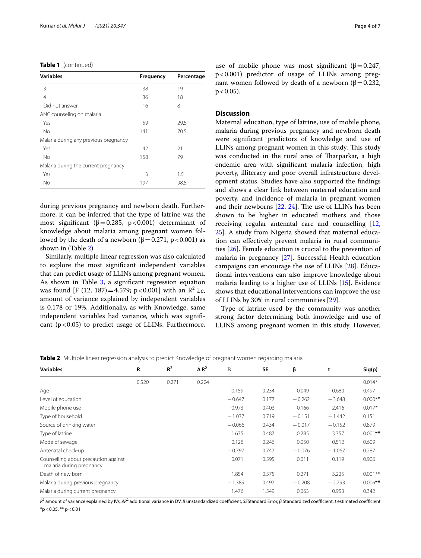|  | Table 1 (continued) |
|--|---------------------|
|--|---------------------|

| <b>Variables</b>                      | <b>Frequency</b> | Percentage |
|---------------------------------------|------------------|------------|
| 3                                     | 38               | 19         |
| $\overline{4}$                        | 36               | 18         |
| Did not answer                        | 16               | 8          |
| ANC counseling on malaria             |                  |            |
| Yes                                   | 59               | 29.5       |
| <b>No</b>                             | 141              | 70.5       |
| Malaria during any previous pregnancy |                  |            |
| Yes                                   | 42               | 21         |
| <b>No</b>                             | 158              | 79         |
| Malaria during the current pregnancy  |                  |            |
| Yes                                   | 3                | 1.5        |
| No                                    | 197              | 98.5       |

during previous pregnancy and newborn death. Furthermore, it can be inferred that the type of latrine was the most significant ( $\beta$ =0.285, p<0.001) determinant of knowledge about malaria among pregnant women followed by the death of a newborn (β = 0.271, p < 0.001) as shown in (Table [2\)](#page-3-0).

Similarly, multiple linear regression was also calculated to explore the most signifcant independent variables that can predict usage of LLINs among pregnant women. As shown in Table  $3$ , a significant regression equation was found [F (12, 187) = 4.579; p < 0.001] with an  $\mathbb{R}^2$  i.e. amount of variance explained by independent variables is 0.178 or 19%. Additionally, as with Knowledge, same independent variables had variance, which was signifcant  $(p<0.05)$  to predict usage of LLINs. Furthermore,

use of mobile phone was most significant ( $\beta$ =0.247, p<0.001) predictor of usage of LLINs among pregnant women followed by death of a newborn (β = 0.232,  $p < 0.05$ ).

### **Discussion**

Maternal education, type of latrine, use of mobile phone, malaria during previous pregnancy and newborn death were signifcant predictors of knowledge and use of LLINs among pregnant women in this study. This study was conducted in the rural area of Tharparkar, a high endemic area with signifcant malaria infection, high poverty, illiteracy and poor overall infrastructure development status. Studies have also supported the fndings and shows a clear link between maternal education and poverty, and incidence of malaria in pregnant women and their newborns  $[22, 24]$  $[22, 24]$  $[22, 24]$  $[22, 24]$ . The use of LLINs has been shown to be higher in educated mothers and those receiving regular antenatal care and counselling [[12](#page-5-11), [25\]](#page-6-7). A study from Nigeria showed that maternal education can efectively prevent malaria in rural communities [[26\]](#page-6-8). Female education is crucial to the prevention of malaria in pregnancy [\[27](#page-6-9)]. Successful Health education campaigns can encourage the use of LLINs [\[28](#page-6-10)]. Educational interventions can also improve knowledge about malaria leading to a higher use of LLINs [\[15](#page-5-14)]. Evidence shows that educational interventions can improve the use of LLINs by 30% in rural communities [[29\]](#page-6-11).

Type of latrine used by the community was another strong factor determining both knowledge and use of LLINS among pregnant women in this study. However,

| <b>Variables</b>                                                 | R     | $R^2$ | $\Delta$ R <sup>2</sup> | B        | <b>SE</b> | β        |          | Sig(p)     |
|------------------------------------------------------------------|-------|-------|-------------------------|----------|-----------|----------|----------|------------|
|                                                                  | 0.520 | 0.271 | 0.224                   |          |           |          |          | $0.014*$   |
| Age                                                              |       |       |                         | 0.159    | 0.234     | 0.049    | 0.680    | 0.497      |
| Level of education                                               |       |       |                         | $-0.647$ | 0.177     | $-0.262$ | $-3.648$ | $0.000$ ** |
| Mobile phone use                                                 |       |       |                         | 0.973    | 0.403     | 0.166    | 2.416    | $0.017*$   |
| Type of household                                                |       |       |                         | $-1.037$ | 0.719     | $-0.151$ | $-1.442$ | 0.151      |
| Source of drinking water                                         |       |       |                         | $-0.066$ | 0.434     | $-0.017$ | $-0.152$ | 0.879      |
| Type of latrine                                                  |       |       |                         | 1.635    | 0.487     | 0.285    | 3.357    | $0.001$ ** |
| Mode of sewage                                                   |       |       |                         | 0.126    | 0.246     | 0.050    | 0.512    | 0.609      |
| Antenatal check-up                                               |       |       |                         | $-0.797$ | 0.747     | $-0.076$ | $-1.067$ | 0.287      |
| Counselling about precaution against<br>malaria during pregnancy |       |       |                         | 0.071    | 0.595     | 0.011    | 0.119    | 0.906      |
| Death of new born                                                |       |       |                         | 1.854    | 0.575     | 0.271    | 3.225    | $0.001$ ** |
| Malaria during previous pregnancy                                |       |       |                         | $-1.389$ | 0.497     | $-0.208$ | $-2.793$ | $0.006**$  |
| Malaria during current pregnancy                                 |       |       |                         | 1.476    | 1.549     | 0.063    | 0.953    | 0.342      |
|                                                                  |       |       |                         |          |           |          |          |            |

<span id="page-3-0"></span>**Table 2** Multiple linear regression analysis to predict Knowledge of pregnant women regarding malaria

*R*<sup>2</sup> amount of variance explained by IVs, ΔR<sup>2</sup> additional variance in DV, *B* unstandardized coefficient, *SES*tandard Error, *β* Standardized coefficient, *t* estimated coefficient  $*p$  < 0.05,  $**$  p < 0.01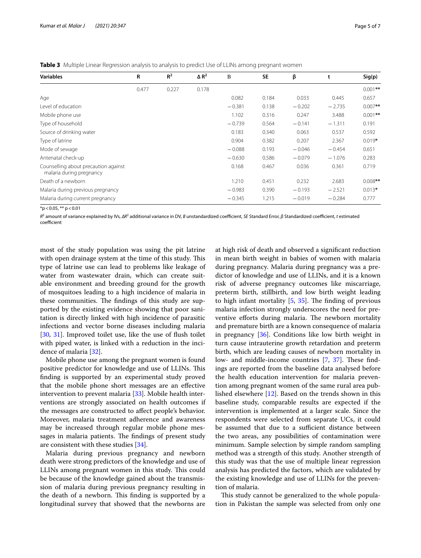<span id="page-4-0"></span>**Table 3** Multiple Linear Regression analysis to analysis to predict Use of LLINs among pregnant women

| <b>Variables</b>                                                 | R     | $R^2$ | $\Delta$ R <sup>2</sup> | B        | <b>SE</b> | β        | t        | Sig(p)     |
|------------------------------------------------------------------|-------|-------|-------------------------|----------|-----------|----------|----------|------------|
|                                                                  | 0.477 | 0.227 | 0.178                   |          |           |          |          | $0.001**$  |
| Age                                                              |       |       |                         | 0.082    | 0.184     | 0.033    | 0.445    | 0.657      |
| Level of education                                               |       |       |                         | $-0.381$ | 0.138     | $-0.202$ | $-2.735$ | $0.007$ ** |
| Mobile phone use                                                 |       |       |                         | 1.102    | 0.316     | 0.247    | 3.488    | $0.001**$  |
| Type of household                                                |       |       |                         | $-0.739$ | 0.564     | $-0.141$ | $-1.311$ | 0.191      |
| Source of drinking water                                         |       |       |                         | 0.183    | 0.340     | 0.063    | 0.537    | 0.592      |
| Type of latrine                                                  |       |       |                         | 0.904    | 0.382     | 0.207    | 2.367    | $0.019*$   |
| Mode of sewage                                                   |       |       |                         | $-0.088$ | 0.193     | $-0.046$ | $-0.454$ | 0.651      |
| Antenatal check-up                                               |       |       |                         | $-0.630$ | 0.586     | $-0.079$ | $-1.076$ | 0.283      |
| Counselling about precaution against<br>malaria during pregnancy |       |       |                         | 0.168    | 0.467     | 0.036    | 0.361    | 0.719      |
| Death of a newborn                                               |       |       |                         | 1.210    | 0.451     | 0.232    | 2.683    | $0.008$ ** |
| Malaria during previous pregnancy                                |       |       |                         | $-0.983$ | 0.390     | $-0.193$ | $-2.521$ | $0.013*$   |
| Malaria during current pregnancy                                 |       |       |                         | $-0.345$ | 1.215     | $-0.019$ | $-0.284$ | 0.777      |
|                                                                  |       |       |                         |          |           |          |          |            |

 $*$ p < 0.05,  $**$  p < 0.01

 $R^2$  amount of variance explained by IVs, *ΔR*<sup>2</sup> additional variance in DV, *B* unstandardized coefficient, *t Standard Error, β Standardized coefficient, t estimated* coefficient

most of the study population was using the pit latrine with open drainage system at the time of this study. This type of latrine use can lead to problems like leakage of water from wastewater drain, which can create suitable environment and breeding ground for the growth of mosquitoes leading to a high incidence of malaria in these communities. The findings of this study are supported by the existing evidence showing that poor sanitation is directly linked with high incidence of parasitic infections and vector borne diseases including malaria [[30,](#page-6-12) [31](#page-6-13)]. Improved toilet use, like the use of fush toilet with piped water, is linked with a reduction in the incidence of malaria [[32](#page-6-14)].

Mobile phone use among the pregnant women is found positive predictor for knowledge and use of LLINs. This fnding is supported by an experimental study proved that the mobile phone short messages are an efective intervention to prevent malaria [[33](#page-6-15)]. Mobile health interventions are strongly associated on health outcomes if the messages are constructed to afect people's behavior. Moreover, malaria treatment adherence and awareness may be increased through regular mobile phone messages in malaria patients. The findings of present study are consistent with these studies [[34\]](#page-6-16).

Malaria during previous pregnancy and newborn death were strong predictors of the knowledge and use of LLINs among pregnant women in this study. This could be because of the knowledge gained about the transmission of malaria during previous pregnancy resulting in the death of a newborn. This finding is supported by a longitudinal survey that showed that the newborns are at high risk of death and observed a signifcant reduction in mean birth weight in babies of women with malaria during pregnancy. Malaria during pregnancy was a predictor of knowledge and use of LLINs, and it is a known risk of adverse pregnancy outcomes like miscarriage, preterm birth, stillbirth, and low birth weight leading to high infant mortality  $[5, 35]$  $[5, 35]$  $[5, 35]$  $[5, 35]$  $[5, 35]$ . The finding of previous malaria infection strongly underscores the need for preventive efforts during malaria. The newborn mortality and premature birth are a known consequence of malaria in pregnancy [\[36](#page-6-18)]. Conditions like low birth weight in turn cause intrauterine growth retardation and preterm birth, which are leading causes of newborn mortality in low- and middle-income countries [[7](#page-5-6), [37\]](#page-6-19). These findings are reported from the baseline data analysed before the health education intervention for malaria prevention among pregnant women of the same rural area published elsewhere [[12](#page-5-11)]. Based on the trends shown in this baseline study, comparable results are expected if the intervention is implemented at a larger scale. Since the respondents were selected from separate UCs, it could be assumed that due to a sufficient distance between the two areas, any possibilities of contamination were minimum. Sample selection by simple random sampling method was a strength of this study. Another strength of this study was that the use of multiple linear regression analysis has predicted the factors, which are validated by the existing knowledge and use of LLINs for the prevention of malaria.

This study cannot be generalized to the whole population in Pakistan the sample was selected from only one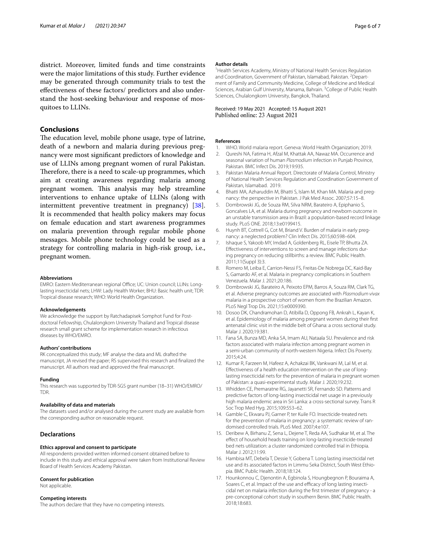district. Moreover, limited funds and time constraints were the major limitations of this study. Further evidence may be generated through community trials to test the efectiveness of these factors/ predictors and also understand the host-seeking behaviour and response of mosquitoes to LLINs.

# **Conclusions**

The education level, mobile phone usage, type of latrine, death of a newborn and malaria during previous pregnancy were most signifcant predictors of knowledge and use of LLINs among pregnant women of rural Pakistan. Therefore, there is a need to scale-up programmes, which aim at creating awareness regarding malaria among pregnant women. This analysis may help streamline interventions to enhance uptake of LLINs (along with intermittent preventive treatment in pregnancy) [\[38](#page-6-20)]. It is recommended that health policy makers may focus on female education and start awareness programmes on malaria prevention through regular mobile phone messages. Mobile phone technology could be used as a strategy for controlling malaria in high-risk group, i.e., pregnant women.

#### **Abbreviations**

EMRO: Eastern Mediterranean regional Office; UC: Union council; LLINs: Longlasting insecticidal nets; LHW: Lady Health Worker; BHU: Basic health unit; TDR: Tropical disease research; WHO: World Health Organization.

#### **Acknowledgements**

We acknowledge the support by Ratchadapisek Somphot Fund for Postdoctoral Fellowship, Chulalongkorn University Thailand and Tropical disease research small grant scheme for implementation research in infectious diseases by WHO/EMRO.

#### **Authors' contributions**

RK conceptualized this study; MF analyse the data and ML drafted the manuscript, JA revised the paper; RS supervised this research and fnalized the manuscript. All authors read and approved the fnal manuscript.

#### **Funding**

This research was supported by TDR-SGS grant number (18–31) WHO/EMRO/ TDR.

#### **Availability of data and materials**

The datasets used and/or analysed during the current study are available from the corresponding author on reasonable request.

# **Declarations**

#### **Ethics approval and consent to participate**

All respondents provided written informed consent obtained before to include in this study and ethical approval were taken from Institutional Review Board of Health Services Academy Pakistan.

#### **Consent for publication**

Not applicable.

#### **Competing interests**

The authors declare that they have no competing interests.

#### **Author details**

<sup>1</sup> Health Services Academy, Ministry of National Health Services Regulation and Coordination, Government of Pakistan, Islamabad, Pakistan. <sup>2</sup> Department of Family and Community Medicine, College of Medicine and Medical Sciences, Arabian Gulf University, Manama, Bahrain. <sup>3</sup> College of Public Health Sciences, Chulalongkorn University, Bangkok, Thailand.

# Received: 19 May 2021 Accepted: 15 August 2021<br>Published online: 23 August 2021

#### **References**

- <span id="page-5-0"></span>1. WHO. World malaria report. Geneva: World Health Organization; 2019.
- <span id="page-5-1"></span>2. Qureshi NA, Fatima H, Afzal M, Khattak AA, Nawaz MA. Occurrence and seasonal variation of human *Plasmodium* infection in Punjab Province, Pakistan. BMC Infect Dis. 2019;19:935.
- <span id="page-5-2"></span>3. Pakistan Malaria Annual Report. Directorate of Malaria Control, Ministry of National Health Services Regulation and Coordination Government of Pakistan, Islamabad. 2019.
- <span id="page-5-3"></span>4. Bhatti MA, Azharuddin M, Bhatti S, Islam M, Khan MA. Malaria and pregnancy: the perspective in Pakistan. J Pak Med Assoc. 2007;57:15–8.
- <span id="page-5-4"></span>5. Dombrowski JG, de Souza RM, Silva NRM, Barateiro A, Epiphanio S, Goncalves LA, et al. Malaria during pregnancy and newborn outcome in an unstable transmission area in Brazil: a population-based record linkage study. PLoS ONE. 2018;13:e0199415.
- <span id="page-5-5"></span>6. Huynh BT, Cottrell G, Cot M, Briand V. Burden of malaria in early pregnancy: a neglected problem? Clin Infect Dis. 2015;60:598–604.
- <span id="page-5-6"></span>7. Ishaque S, Yakoob MY, Imdad A, Goldenberg RL, Eisele TP, Bhutta ZA. Efectiveness of interventions to screen and manage infections during pregnancy on reducing stillbirths: a review. BMC Public Health. 2011;11(Suppl 3):3.
- <span id="page-5-7"></span>8. Romero M, Leiba E, Carrion-Nessi FS, Freitas-De Nobrega DC, Kaid-Bay S, Gamardo AF, et al. Malaria in pregnancy complications in Southern Venezuela. Malar J. 2021;20:186.
- <span id="page-5-8"></span>9. Dombrowski JG, Barateiro A, Peixoto EPM, Barros A, Souza RM, Clark TG, et al. Adverse pregnancy outcomes are associated with *Plasmodium vivax* malaria in a prospective cohort of women from the Brazilian Amazon. PLoS Negl Trop Dis. 2021;15:e0009390.
- <span id="page-5-9"></span>10. Dosoo DK, Chandramohan D, Atibilla D, Oppong FB, Ankrah L, Kayan K, et al. Epidemiology of malaria among pregnant women during their frst antenatal clinic visit in the middle belt of Ghana: a cross sectional study. Malar J. 2020;19:381.
- <span id="page-5-10"></span>11. Fana SA, Bunza MD, Anka SA, Imam AU, Nataala SU. Prevalence and risk factors associated with malaria infection among pregnant women in a semi-urban community of north-western Nigeria. Infect Dis Poverty. 2015;4:24.
- <span id="page-5-11"></span>12. Kumar R, Farzeen M, Hafeez A, Achakzai BK, Vankwani M, Lal M, et al. Efectiveness of a health education intervention on the use of longlasting insecticidal nets for the prevention of malaria in pregnant women of Pakistan: a quasi-experimental study. Malar J. 2020;19:232.
- 13. Whidden CE, Premaratne RG, Jayanetti SR, Fernando SD. Patterns and predictive factors of long-lasting insecticidal net usage in a previously high malaria endemic area in Sri Lanka: a cross-sectional survey. Trans R Soc Trop Med Hyg. 2015;109:553–62.
- <span id="page-5-13"></span>14. Gamble C, Ekwaru PJ, Garner P, ter Kuile FO. Insecticide-treated nets for the prevention of malaria in pregnancy: a systematic review of randomised controlled trials. PLoS Med. 2007;4:e107.
- <span id="page-5-14"></span>15. Deribew A, Birhanu Z, Sena L, Dejene T, Reda AA, Sudhakar M, et al. The efect of household heads training on long-lasting insecticide-treated bed nets utilization: a cluster randomized controlled trial in Ethiopia. Malar J. 2012;11:99.
- 16. Hambisa MT, Debela T, Dessie Y, Gobena T. Long lasting insecticidal net use and its associated factors in Limmu Seka District, South West Ethiopia. BMC Public Health. 2018;18:124.
- <span id="page-5-12"></span>17. Hounkonnou C, Djenontin A, Egbinola S, Houngbegnon P, Bouraima A, Soares C, et al. Impact of the use and efficacy of long lasting insecticidal net on malaria infection during the frst trimester of pregnancy - a pre-conceptional cohort study in southern Benin. BMC Public Health. 2018;18:683.